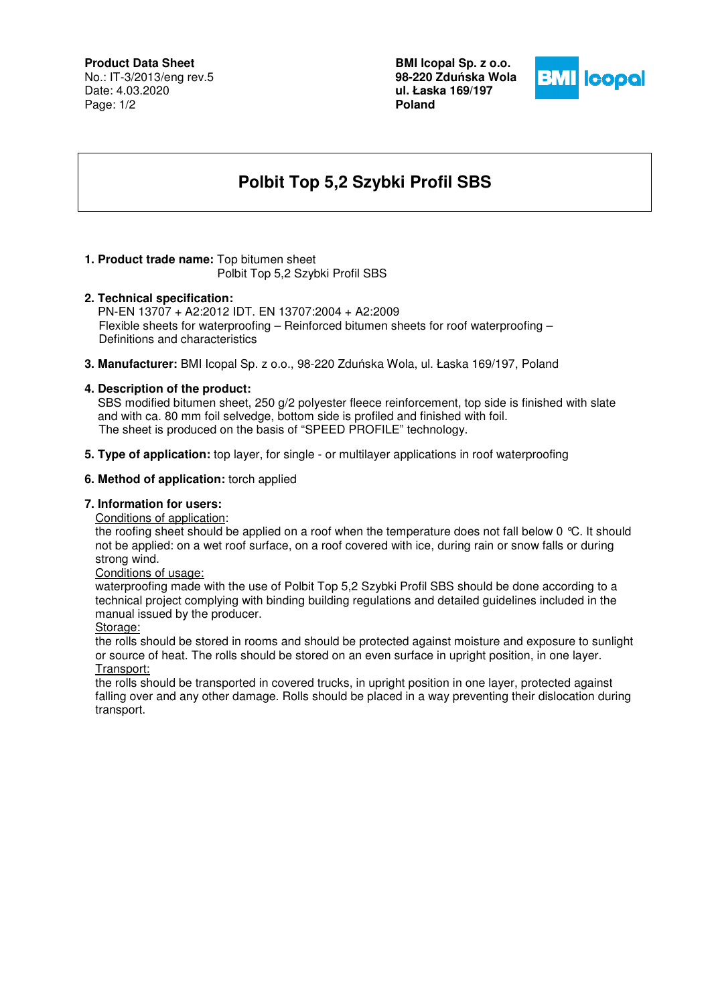# **Product Data Sheet**

No.: IT-3/2013/eng rev.5 Date: 4.03.2020 Page: 1/2

**BMI Icopal Sp. z o.o. 98-220 Zdu**ń**ska Wola ul. Łaska 169/197 Poland** 



# **Polbit Top 5,2 Szybki Profil SBS**

# **1. Product trade name:** Top bitumen sheet

Polbit Top 5,2 Szybki Profil SBS

### **2. Technical specification:**

PN-EN 13707 + A2:2012 IDT. EN 13707:2004 + A2:2009 Flexible sheets for waterproofing – Reinforced bitumen sheets for roof waterproofing – Definitions and characteristics

**3. Manufacturer:** BMI Icopal Sp. z o.o., 98-220 Zduńska Wola, ul. Łaska 169/197, Poland

# **4. Description of the product:**

 SBS modified bitumen sheet, 250 g/2 polyester fleece reinforcement, top side is finished with slate and with ca. 80 mm foil selvedge, bottom side is profiled and finished with foil. The sheet is produced on the basis of "SPEED PROFILE" technology.

**5. Type of application:** top layer, for single - or multilayer applications in roof waterproofing

### **6. Method of application:** torch applied

# **7. Information for users:**

Conditions of application:

the roofing sheet should be applied on a roof when the temperature does not fall below 0 °C. It should not be applied: on a wet roof surface, on a roof covered with ice, during rain or snow falls or during strong wind.

Conditions of usage:

waterproofing made with the use of Polbit Top 5,2 Szybki Profil SBS should be done according to a technical project complying with binding building regulations and detailed guidelines included in the manual issued by the producer.

Storage:

the rolls should be stored in rooms and should be protected against moisture and exposure to sunlight or source of heat. The rolls should be stored on an even surface in upright position, in one layer. Transport:

the rolls should be transported in covered trucks, in upright position in one layer, protected against falling over and any other damage. Rolls should be placed in a way preventing their dislocation during transport.